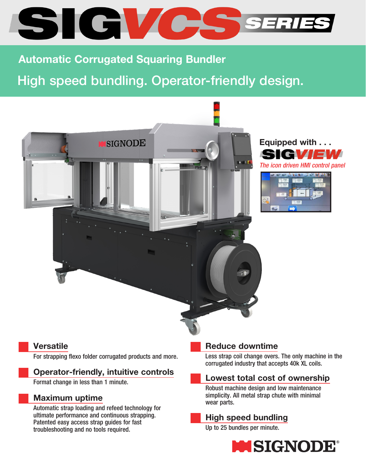

# Automatic Corrugated Squaring Bundler

# High speed bundling. Operator-friendly design.





|   | 19.542                 | œ                             |
|---|------------------------|-------------------------------|
|   | m<br>790<br>1000<br>w  | 210                           |
|   | 260<br><b>PEC</b>      | 245                           |
|   | $rac{1}{2}$<br>$^{20}$ | <b>G</b> <sub>20</sub><br>180 |
| Ω | or so                  |                               |
|   | 800<br><b>TOTT</b>     |                               |
|   |                        | <b>Harry</b>                  |

#### **Versatile**

For strapping flexo folder corrugated products and more.

#### Operator-friendly, intuitive controls

Format change in less than 1 minute.

#### Maximum uptime

Automatic strap loading and refeed technology for ultimate performance and continuous strapping. Patented easy access strap guides for fast troubleshooting and no tools required.

#### Reduce downtime

Less strap coil change overs. The only machine in the corrugated industry that accepts 40k XL coils.

## Lowest total cost of ownership

Robust machine design and low maintenance simplicity. All metal strap chute with minimal wear parts.

## High speed bundling

Up to 25 bundles per minute.